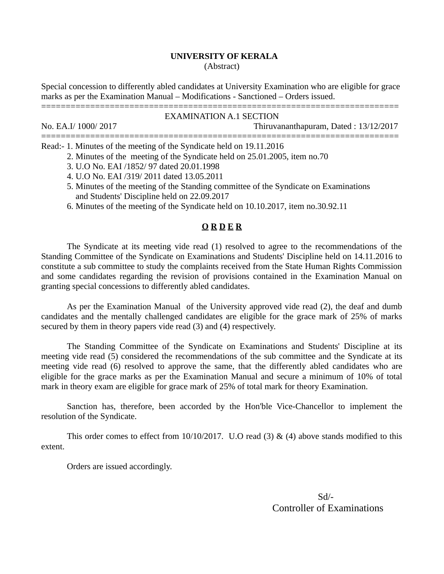## **UNIVERSITY OF KERALA**

(Abstract)

Special concession to differently abled candidates at University Examination who are eligible for grace marks as per the Examination Manual – Modifications - Sanctioned – Orders issued. =========================================================================

## EXAMINATION A.1 SECTION

No. EA.I/ 1000/ 2017 Thiruvananthapuram, Dated : 13/12/2017

=========================================================================

Read:- 1. Minutes of the meeting of the Syndicate held on 19.11.2016

- 2. Minutes of the meeting of the Syndicate held on 25.01.2005, item no.70
- 3. U.O No. EAI /1852/ 97 dated 20.01.1998
- 4. U.O No. EAI /319/ 2011 dated 13.05.2011
- 5. Minutes of the meeting of the Standing committee of the Syndicate on Examinations and Students' Discipline held on 22.09.2017
- 6. Minutes of the meeting of the Syndicate held on 10.10.2017, item no.30.92.11

## **O R D E R**

The Syndicate at its meeting vide read (1) resolved to agree to the recommendations of the Standing Committee of the Syndicate on Examinations and Students' Discipline held on 14.11.2016 to constitute a sub committee to study the complaints received from the State Human Rights Commission and some candidates regarding the revision of provisions contained in the Examination Manual on granting special concessions to differently abled candidates.

As per the Examination Manual of the University approved vide read (2), the deaf and dumb candidates and the mentally challenged candidates are eligible for the grace mark of 25% of marks secured by them in theory papers vide read (3) and (4) respectively.

The Standing Committee of the Syndicate on Examinations and Students' Discipline at its meeting vide read (5) considered the recommendations of the sub committee and the Syndicate at its meeting vide read (6) resolved to approve the same, that the differently abled candidates who are eligible for the grace marks as per the Examination Manual and secure a minimum of 10% of total mark in theory exam are eligible for grace mark of 25% of total mark for theory Examination.

Sanction has, therefore, been accorded by the Hon'ble Vice-Chancellor to implement the resolution of the Syndicate.

This order comes to effect from 10/10/2017. U.O read (3) & (4) above stands modified to this extent.

Orders are issued accordingly.

 Sd/- Controller of Examinations